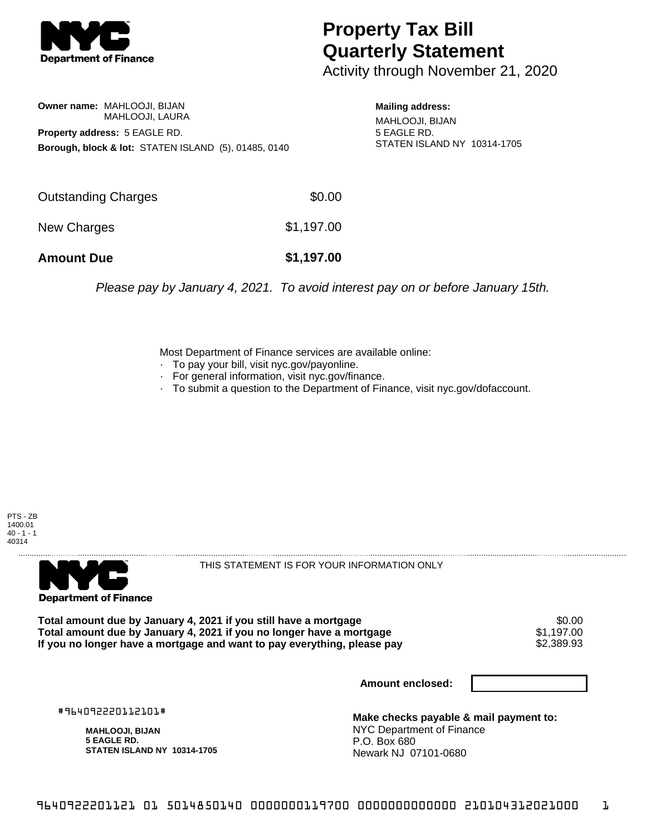

## **Property Tax Bill Quarterly Statement**

Activity through November 21, 2020

## **Owner name:** MAHLOOJI, BIJAN MAHLOOJI, LAURA **Property address:** 5 EAGLE RD. **Borough, block & lot:** STATEN ISLAND (5), 01485, 0140

**Mailing address:** MAHLOOJI, BIJAN 5 EAGLE RD. STATEN ISLAND NY 10314-1705

| <b>Amount Due</b>   | \$1,197.00 |
|---------------------|------------|
| New Charges         | \$1,197.00 |
| Outstanding Charges | \$0.00     |

Please pay by January 4, 2021. To avoid interest pay on or before January 15th.

Most Department of Finance services are available online:

- · To pay your bill, visit nyc.gov/payonline.
- For general information, visit nyc.gov/finance.
- · To submit a question to the Department of Finance, visit nyc.gov/dofaccount.





THIS STATEMENT IS FOR YOUR INFORMATION ONLY

Total amount due by January 4, 2021 if you still have a mortgage \$0.00<br>Total amount due by January 4, 2021 if you no longer have a mortgage \$1.197.00 **Total amount due by January 4, 2021 if you no longer have a mortgage**  $$1,197.00$ **<br>If you no longer have a mortgage and want to pay everything, please pay <b>show that have use** \$2,389.93 If you no longer have a mortgage and want to pay everything, please pay

**Amount enclosed:**

#964092220112101#

**MAHLOOJI, BIJAN 5 EAGLE RD. STATEN ISLAND NY 10314-1705**

**Make checks payable & mail payment to:** NYC Department of Finance P.O. Box 680 Newark NJ 07101-0680